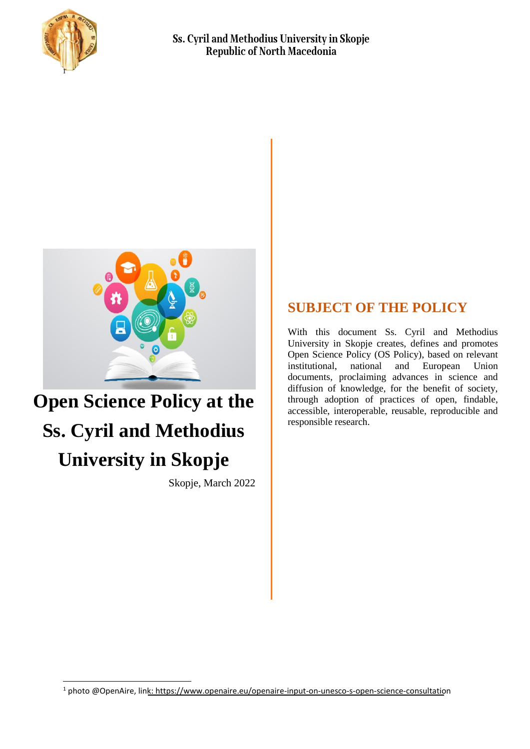



# **Open Science Policy at the Ss. Cyril and Methodius University in Skopje**

Skopje, March 2022

# **SUBJECT OF THE POLICY**

With this document Ss. Cyril and Methodius University in Skopje creates, defines and promotes Open Science Policy (OS Policy), based on relevant<br>institutional, national and European Union institutional, national and European Union documents, proclaiming advances in science and diffusion of knowledge, for the benefit of society, through adoption of practices of open, findable, accessible, interoperable, reusable, reproducible and responsible research.

<sup>1</sup> photo @OpenAire, link: https://www.openaire.eu/openaire-input-on-unesco-s-open-science-consultation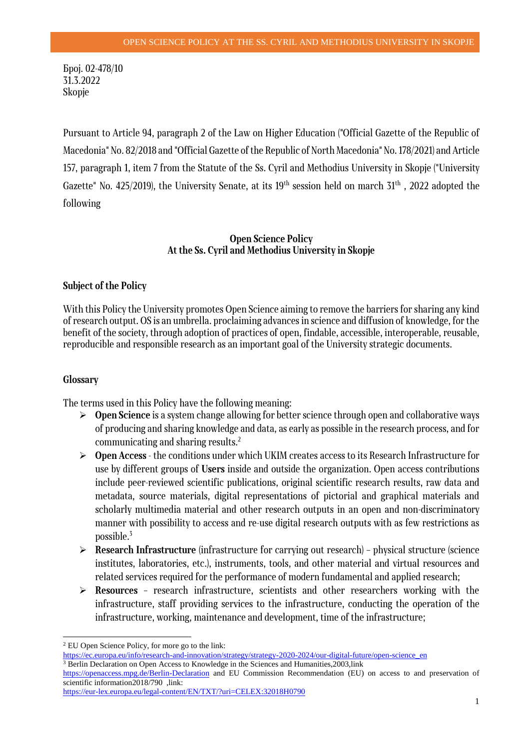Број. 02-478/10 31.3.2022 Skopje

Pursuant to Article 94, paragraph 2 of the Law on Higher Education ("Official Gazette of the Republic of Macedonia" No. 82/2018 and "Official Gazette of the Republic of North Macedonia" No. 178/2021) and Article 157, paragraph 1, item 7 from the Statute of the Ss. Cyril and Methodius University in Skopje ("University Gazette" No. 425/2019), the University Senate, at its  $19^{\rm th}$  session held on march 31 $^{\rm th}$  , 2022 adopted the following

# **Open Science Policy At the Ss. Cyril and Methodius University in Skopje**

# **Subject of the Policy**

With this Policy the University promotes Open Science aiming to remove the barriers for sharing any kind of research output. OS is an umbrella. proclaiming advances in science and diffusion of knowledge, for the benefit of the society, through adoption of practices of open, findable, accessible, interoperable, reusable, reproducible and responsible research as an important goal of the University strategic documents.

# **Glossary**

The terms used in this Policy have the following meaning:

- **Open Science** is a system change allowing for better science through open and collaborative ways of producing and sharing knowledge and data, as early as possible in the research process, and for communicating and sharing results.<sup>2</sup>
- **Open Access**  the conditions under which UKIM creates access to its Research Infrastructure for use by different groups of **Users** inside and outside the organization. Open access contributions include peer-reviewed scientific publications, original scientific research results, raw data and metadata, source materials, digital representations of pictorial and graphical materials and scholarly multimedia material and other research outputs in an open and non-discriminatory manner with possibility to access and re-use digital research outputs with as few restrictions as possible. $3$
- **Research Infrastructure** (infrastructure for carrying out research) physical structure (science institutes, laboratories, etc.), instruments, tools, and other material and virtual resources and related services required for the performance of modern fundamental and applied research;
- **Resources** research infrastructure, scientists and other researchers working with the infrastructure, staff providing services to the infrastructure, conducting the operation of the infrastructure, working, maintenance and development, time of the infrastructure;

<sup>3</sup> Berlin Declaration on Open Access to Knowledge in the Sciences and Humanities, 2003, link

<sup>2</sup> EU Open Science Policy, for more go to the link:

[https://ec.europa.eu/info/research-and-innovation/strategy/strategy-2020-2024/our-digital-future/open-science\\_en](https://ec.europa.eu/info/research-and-innovation/strategy/strategy-2020-2024/our-digital-future/open-science_en)

<https://openaccess.mpg.de/Berlin-Declaration>and EU Commission Recommendation (EU) on access to and preservation of scientific information2018/790 ,link:

<https://eur-lex.europa.eu/legal-content/EN/TXT/?uri=CELEX:32018H0790>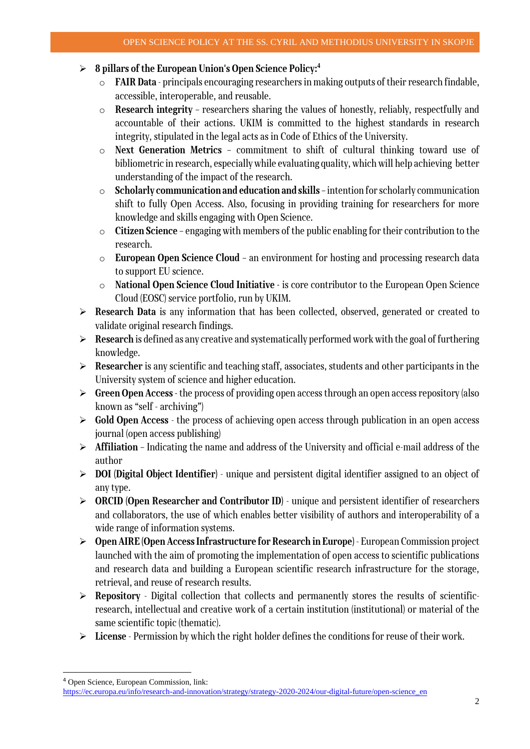- **8 pillars of the European Union's Open Science Policy:<sup>4</sup>**
	- o **FAIR Data**  principals encouraging researchers in making outputs of their research findable, accessible, interoperable, and reusable.
	- o **Research integrity**  researchers sharing the values of honestly, reliably, respectfully and accountable of their actions. UKIM is committed to the highest standards in research integrity, stipulated in the legal acts as in Code of Ethics of the University.
	- o **Next Generation Metrics** commitment to shift of cultural thinking toward use of bibliometric in research, especially while evaluating quality, which will help achieving better understanding of the impact of the research.
	- o **Scholarly communication and education and skills** intention for scholarly communication shift to fully Open Access. Also, focusing in providing training for researchers for more knowledge and skills engaging with Open Science.
	- o **Citizen Science** engaging with members of the public enabling for their contribution to the research.
	- o **European Open Science Cloud** an environment for hosting and processing research data to support EU science.
	- o **National Open Science Cloud Initiative -** is core contributor to the European Open Science Cloud (EOSC) service portfolio, run by UKIM.
- **Research Data** is any information that has been collected, observed, generated or created to validate original research findings.
- **Research** is defined as any creative and systematically performed work with the goal of furthering knowledge.
- **Researcher** is any scientific and teaching staff, associates, students and other participants in the University system of science and higher education.
- **Green Open Access** the process of providing open access through an open access repository (also known as "self - archiving")
- **Gold Open Access** the process of achieving open access through publication in an open access journal (open access publishing)
- $\triangleright$  **Affiliation** Indicating the name and address of the University and official e-mail address of the author
- **DOI (Digital Object Identifier)** unique and persistent digital identifier assigned to an object of any type.
- **ORCID (Open Researcher and Contributor ID)** unique and persistent identifier of researchers and collaborators, the use of which enables better visibility of authors and interoperability of a wide range of information systems.
- **Open AIRE (Open Access Infrastructure for Research in Europe)** European Commission project launched with the aim of promoting the implementation of open access to scientific publications and research data and building a European scientific research infrastructure for the storage, retrieval, and reuse of research results.
- **Repository** Digital collection that collects and permanently stores the results of scientificresearch, intellectual and creative work of a certain institution (institutional) or material of the same scientific topic (thematic).
- **License** Permission by which the right holder defines the conditions for reuse of their work.

<sup>4</sup> Open Science, European Commission, link: [https://ec.europa.eu/info/research-and-innovation/strategy/strategy-2020-2024/our-digital-future/open-science\\_en](https://ec.europa.eu/info/research-and-innovation/strategy/strategy-2020-2024/our-digital-future/open-science_en)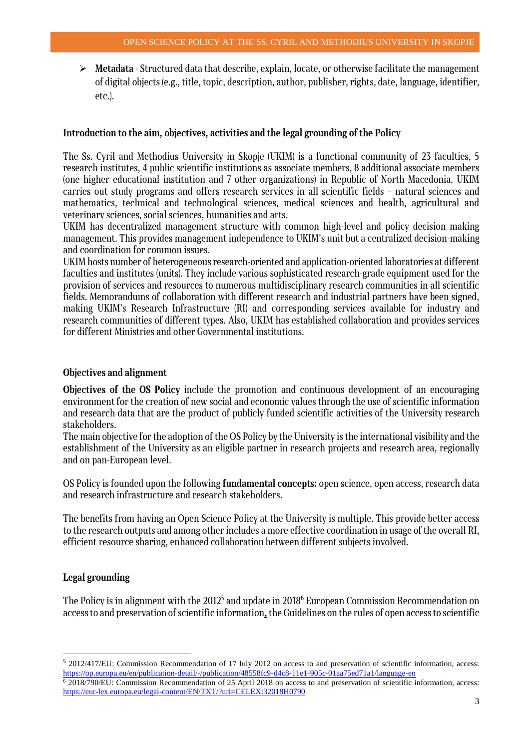**Metadata** - Structured data that describe, explain, locate, or otherwise facilitate the management of digital objects (e.g., title, topic, description, author, publisher, rights, date, language, identifier, etc.).

# **Introduction to the aim, objectives, activities and the legal grounding of the Policy**

The Ss. Cyril and Methodius University in Skopje (UKIM) is a functional community of 23 faculties, 5 research institutes, 4 public scientific institutions as associate members, 8 additional associate members (one higher educational institution and 7 other organizations) in Republic of North Macedonia. UKIM carries out study programs and offers research services in all scientific fields – natural sciences and mathematics, technical and technological sciences, medical sciences and health, agricultural and veterinary sciences, social sciences, humanities and arts.

UKIM has decentralized management structure with common high-level and policy decision making management. This provides management independence to UKIM's unit but a centralized decision-making and coordination for common issues.

UKIM hosts number of heterogeneous research-oriented and application-oriented laboratories at different faculties and institutes (units). They include various sophisticated research-grade equipment used for the provision of services and resources to numerous multidisciplinary research communities in all scientific fields. Memorandums of collaboration with different research and industrial partners have been signed, making UKIM's Research Infrastructure (RI) and corresponding services available for industry and research communities of different types. Also, UKIM has established collaboration and provides services for different Ministries and other Governmental institutions.

## **Objectives and alignment**

**Objectives of the OS Policy** include the promotion and continuous development of an encouraging environment for the creation of new social and economic values through the use of scientific information and research data that are the product of publicly funded scientific activities of the University research stakeholders.

The main objective for the adoption of the OS Policy by the University is the international visibility and the establishment of the University as an eligible partner in research projects and research area, regionally and on pan-European level.

OS Policy is founded upon the following **fundamental concepts:** open science, open access, research data and research infrastructure and research stakeholders.

The benefits from having an Open Science Policy at the University is multiple. This provide better access to the research outputs and among other includes a more effective coordination in usage of the overall RI, efficient resource sharing, enhanced collaboration between different subjects involved.

# **Legal grounding**

The Policy is in alignment with the 2012 $^5$  and update in 2018 $^6$  European Commission Recommendation on access to and preservation of scientific information**[,](http://ec.europa.eu/research/participants/data/ref/h2020/grants_manual/hi/oa_pilot/h2020-hi-oa-pilot-guide_en.pdf)** the Guidelines on the rules of open access to scientific

<sup>&</sup>lt;sup>5</sup> 2012/417/EU: Commission Recommendation of 17 July 2012 on access to and preservation of scientific information, access: <https://op.europa.eu/en/publication-detail/-/publication/48558fc9-d4c8-11e1-905c-01aa75ed71a1/language-en> 6 2018/790/EU: Commission Recommendation of 25 April 2018 on access to and preservation of scientific information, access: <https://eur-lex.europa.eu/legal-content/EN/TXT/?uri=CELEX:32018H0790>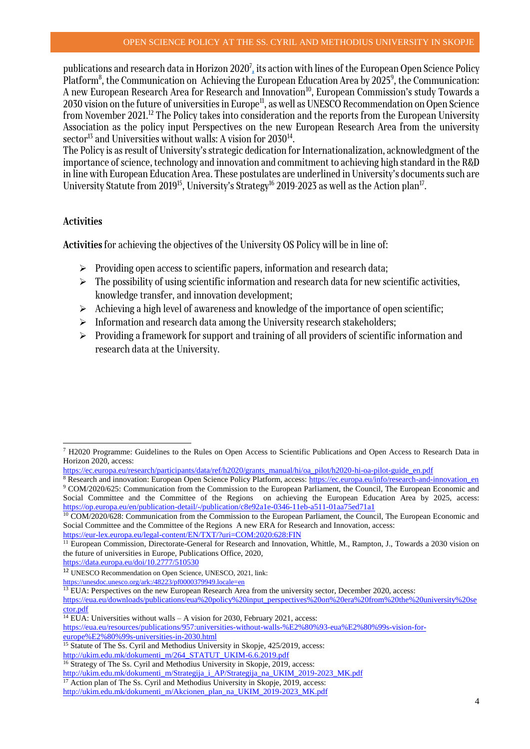#### OPEN SCIENCE POLICY AT THE SS. CYRIL AND METHODIUS UNIVERSITY IN SKOPJE

publications and r[e](https://ec.europa.eu/research/openscience/index.cfm?pg=open-science-policy-platform)search data in Horizon 2020 $^{\prime}{}_{\textrm{\tiny}\star}$  its action with lines of the European Open Science Policy Platform<sup>8</sup>, the Communication on Achieving the European Education Area by 2025<sup>9</sup>, the Communication: A new European Research Area for Research and Innovation<sup>10</sup>, European Commission's study Towards a 2030 vision on the future of universities in Europe<sup>11</sup>, as well as UNESCO Recommendation on Open Science from November 2021.<sup>12</sup> The Policy takes into consideration and the reports from the European University Association as the policy input Perspectives on the new European Research Area from the university  ${\rm sector^{13}}$  and Universities without walls: A vision for 2030 $^{14}$ .

The Policy is as result of University's strategic dedication for Internationalization, acknowledgment of the importance of science, technology and innovation and commitment to achieving high standard in the R&D in line with European Education Area. These postulates are underlined in University's documents such are University Statute from 2019 $^{\rm 15}$ , University's Strategy $^{\rm 16}$  2019-2023 as well as the Action plan $^{\rm 17}.$ 

# **Activities**

**Activities** for achieving the objectives of the University OS Policy will be in line of:

- $\triangleright$  Providing open access to scientific papers, information and research data;
- $\triangleright$  The possibility of using scientific information and research data for new scientific activities, knowledge transfer, and innovation development;
- $\triangleright$  Achieving a high level of awareness and knowledge of the importance of open scientific;
- $\triangleright$  Information and research data among the University research stakeholders;
- $\triangleright$  Providing a framework for support and training of all providers of scientific information and research data at the University.

<https://data.europa.eu/doi/10.2777/510530>

[europe%E2%80%99s-universities-in-2030.html](https://eua.eu/resources/publications/957:universities-without-walls-%E2%80%93-eua%E2%80%99s-vision-for-europe%E2%80%99s-universities-in-2030.html)

[http://ukim.edu.mk/dokumenti\\_m/264\\_STATUT\\_UKIM-6.6.2019.pdf](http://ukim.edu.mk/dokumenti_m/264_STATUT_UKIM-6.6.2019.pdf) 

[http://ukim.edu.mk/dokumenti\\_m/Strategija\\_i\\_AP/Strategija\\_na\\_UKIM\\_2019-2023\\_MK.pdf](http://ukim.edu.mk/dokumenti_m/Strategija_i_AP/Strategija_na_UKIM_2019-2023_MK.pdf)

<sup>7</sup> H2020 Programme: Guidelines to the Rules on Open Access to Scientific Publications and Open Access to Research Data in Horizon 2020, access:

[https://ec.europa.eu/research/participants/data/ref/h2020/grants\\_manual/hi/oa\\_pilot/h2020-hi-oa-pilot-guide\\_en.pdf](https://ec.europa.eu/research/participants/data/ref/h2020/grants_manual/hi/oa_pilot/h2020-hi-oa-pilot-guide_en.pdf) 

<sup>&</sup>lt;sup>8</sup> Research and innovation: European Open Science Policy Platform, access: [https://ec.europa.eu/info/research-and-innovation\\_en](https://ec.europa.eu/info/research-and-innovation_en) 9 COM/2020/625: Communication from the Commission to the European Parliament, the Council, The European Economic and Social Committee and the Committee of the Regions on achieving the European Education Area by 2025, access: <https://op.europa.eu/en/publication-detail/-/publication/c8e92a1e-0346-11eb-a511-01aa75ed71a1>

<sup>&</sup>lt;sup>10</sup> COM/2020/628: Communication from the Commission to the European Parliament, the Council, The European Economic and Social Committee and the Committee of the Regions A new ERA for Research and Innovation, access: <https://eur-lex.europa.eu/legal-content/EN/TXT/?uri=COM:2020:628:FIN>

<sup>&</sup>lt;sup>11</sup> European Commission, Directorate-General for Research and Innovation, Whittle, M., Rampton, J., Towards a 2030 vision on the future of universities in Europe, Publications Office, 2020,

<sup>12</sup> UNESCO Recommendation on Open Science, UNESCO, 2021, link:

<https://unesdoc.unesco.org/ark:/48223/pf0000379949.locale=en>

<sup>&</sup>lt;sup>13</sup> EUA: Perspectives on the new European Research Area from the university sector, December 2020, access:

[https://eua.eu/downloads/publications/eua%20policy%20input\\_perspectives%20on%20era%20from%20the%20university%20se](https://eua.eu/downloads/publications/eua%20policy%20input_perspectives%20on%20era%20from%20the%20university%20sector.pdf) [ctor.pdf](https://eua.eu/downloads/publications/eua%20policy%20input_perspectives%20on%20era%20from%20the%20university%20sector.pdf)

 $14$  EUA: Universities without walls – A vision for 2030, February 2021, access: [https://eua.eu/resources/publications/957:universities-without-walls-%E2%80%93-eua%E2%80%99s-vision-for-](https://eua.eu/resources/publications/957:universities-without-walls-%E2%80%93-eua%E2%80%99s-vision-for-europe%E2%80%99s-universities-in-2030.html)

<sup>&</sup>lt;sup>15</sup> Statute of The Ss. Cyril and Methodius University in Skopje, 425/2019, access:

<sup>&</sup>lt;sup>16</sup> Strategy of The Ss. Cyril and Methodius University in Skopje, 2019, access:

<sup>&</sup>lt;sup>17</sup> Action plan of The Ss. Cyril and Methodius University in Skopje, 2019, access: [http://ukim.edu.mk/dokumenti\\_m/Akcionen\\_plan\\_na\\_UKIM\\_2019-2023\\_MK.pdf](http://ukim.edu.mk/dokumenti_m/Akcionen_plan_na_UKIM_2019-2023_MK.pdf)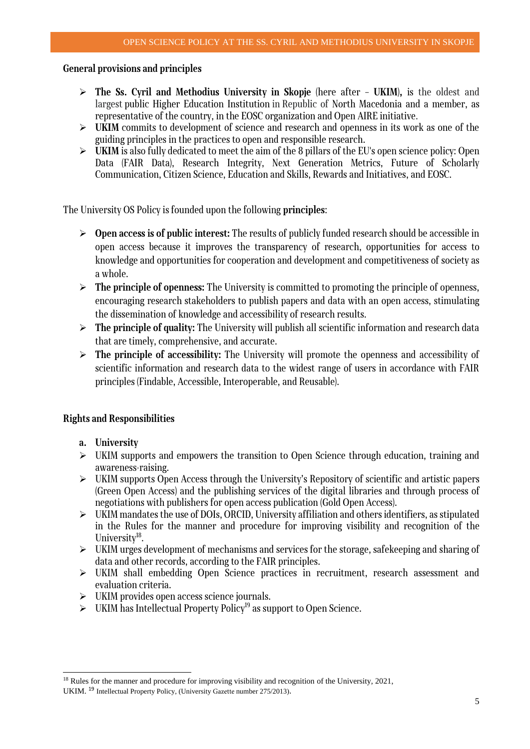# **General provisions and principles**

- **The Ss. Cyril and Methodius University in Skopje** (here after **UKIM**)**,** is the oldest and largest public Higher Education Institution in Republic of North Macedonia and a member, as representative of the country, in the EOSC organization and Open AIRE initiative.
- **UKIM** commits to development of science and research and openness in its work as one of the guiding principles in the practices to open and responsible research.
- $\triangleright$  UKIM is also fully dedicated to meet the aim of the 8 pillars of the EU's open science policy: Open Data (FAIR Data), Research Integrity, Next Generation Metrics, Future of Scholarly Communication, Citizen Science, Education and Skills, Rewards and Initiatives, and EOSC.

The University OS Policy is founded upon the following **principles**:

- **Open access is of public interest:** The results of publicly funded research should be accessible in open access because it improves the transparency of research, opportunities for access to knowledge and opportunities for cooperation and development and competitiveness of society as a whole.
- **The principle of openness:** The University is committed to promoting the principle of openness, encouraging research stakeholders to publish papers and data with an open access, stimulating the dissemination of knowledge and accessibility of research results.
- **The principle of quality:** The University will publish all scientific information and research data that are timely, comprehensive, and accurate.
- **The principle of accessibility:** The University will promote the openness and accessibility of scientific information and research data to the widest range of users in accordance with FAIR principles (Findable, Accessible, Interoperable, and Reusable).

# **Rights and Responsibilities**

# **a. University**

- UKIM supports and empowers the transition to Open Science through education, training and awareness-raising.
- $\triangleright$  UKIM supports Open Access through the University's Repository of scientific and artistic papers (Green Open Access) and the publishing services of the digital libraries and through process of negotiations with publishers for open access publication (Gold Open Access).
- $\triangleright$  UKIM mandates the use of DOIs, ORCID, University affiliation and others identifiers, as stipulated in the Rules for the manner and procedure for improving visibility and recognition of the University<sup>18</sup>.
- $\triangleright$  UKIM urges development of mechanisms and services for the storage, safekeeping and sharing of data and other records, according to the FAIR principles.
- UKIM shall embedding Open Science practices in recruitment, research assessment and evaluation criteria.
- $\triangleright$  UKIM provides open access science journals.
- $\triangleright$  UKIM has Intellectual Property Policy<sup>19</sup> as support to Open Science.

<sup>&</sup>lt;sup>18</sup> Rules for the manner and procedure for improving visibility and recognition of the University, 2021,

UKIM. <sup>19</sup> Intellectual Property Policy, (University Gazette number 275/2013).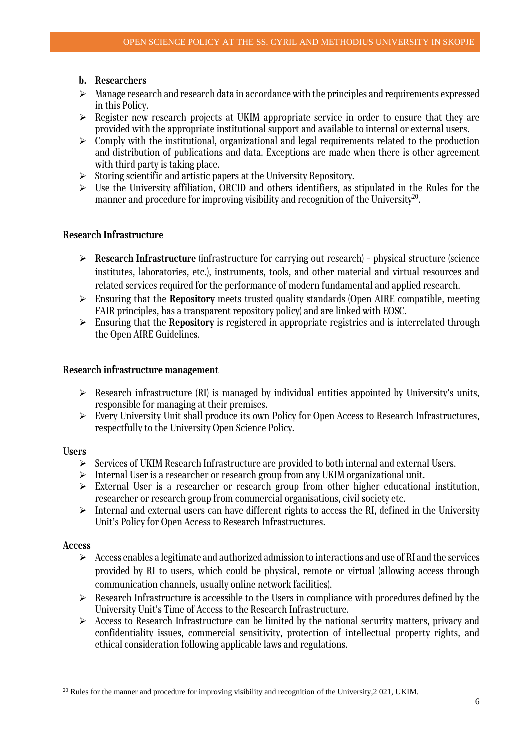# **b. Researchers**

- $\triangleright$  Manage research and research data in accordance with the principles and requirements expressed in this Policy.
- $\triangleright$  Register new research projects at UKIM appropriate service in order to ensure that they are provided with the appropriate institutional support and available to internal or external users.
- $\triangleright$  Comply with the institutional, organizational and legal requirements related to the production and distribution of publications and data. Exceptions are made when there is other agreement with third party is taking place.
- $\triangleright$  Storing scientific and artistic papers at the University Repository.
- $\triangleright$  Use the University affiliation, ORCID and others identifiers, as stipulated in the Rules for the manner and procedure for improving visibility and recognition of the University $^{\rm 20}$ .

## **Research Infrastructure**

- **Research Infrastructure** (infrastructure for carrying out research) physical structure (science institutes, laboratories, etc.), instruments, tools, and other material and virtual resources and related services required for the performance of modern fundamental and applied research.
- Ensuring that the **Repository** meets trusted quality standards (Open AIRE compatible, meeting FAIR principles, has a transparent repository policy) and are linked with EOSC.
- Ensuring that the **Repository** is registered in appropriate registries and is interrelated through the Open AIRE Guidelines.

#### **Research infrastructure management**

- $\triangleright$  Research infrastructure (RI) is managed by individual entities appointed by University's units, responsible for managing at their premises.
- Every University Unit shall produce its own Policy for Open Access to Research Infrastructures, respectfully to the University Open Science Policy.

## **Users**

- Services of UKIM Research Infrastructure are provided to both internal and external Users.
- $\triangleright$  Internal User is a researcher or research group from any UKIM organizational unit.
- $\triangleright$  External User is a researcher or research group from other higher educational institution, researcher or research group from commercial organisations, civil society etc.
- $\triangleright$  Internal and external users can have different rights to access the RI, defined in the University Unit's Policy for Open Access to Research Infrastructures.

## **Access**

- $\triangleright$  Access enables a legitimate and authorized admission to interactions and use of RI and the services provided by RI to users, which could be physical, remote or virtual (allowing access through communication channels, usually online network facilities).
- $\triangleright$  Research Infrastructure is accessible to the Users in compliance with procedures defined by the University Unit's Time of Access to the Research Infrastructure.
- $\triangleright$  Access to Research Infrastructure can be limited by the national security matters, privacy and confidentiality issues, commercial sensitivity, protection of intellectual property rights, and ethical consideration following applicable laws and regulations.

<sup>&</sup>lt;sup>20</sup> Rules for the manner and procedure for improving visibility and recognition of the University,  $2021$ , UKIM.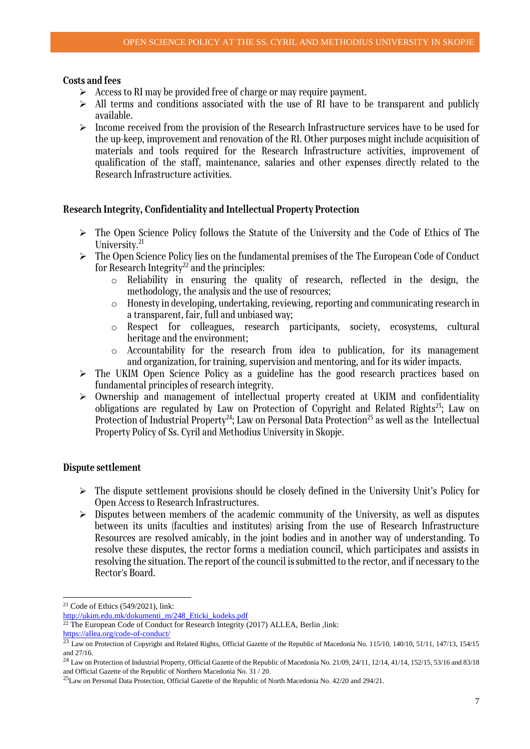#### **Costs and fees**

- $\triangleright$  Access to RI may be provided free of charge or may require payment.
- $\triangleright$  All terms and conditions associated with the use of RI have to be transparent and publicly available.
- $\triangleright$  Income received from the provision of the Research Infrastructure services have to be used for the up-keep, improvement and renovation of the RI. Other purposes might include acquisition of materials and tools required for the Research Infrastructure activities, improvement of qualification of the staff, maintenance, salaries and other expenses directly related to the Research Infrastructure activities.

## **Research Integrity, Confidentiality and Intellectual Property Protection**

- The Open Science Policy follows the Statute of the University and the Code of Ethics of The University.<sup>21</sup>
- $\triangleright$  The Open Science Policy lies on the fundamental premises of the The European Code of Conduct for Research Integrity<sup>22</sup> and the principles:
	- o Reliability in ensuring the quality of research, reflected in the design, the methodology, the analysis and the use of resources;
	- o Honesty in developing, undertaking, reviewing, reporting and communicating research in a transparent, fair, full and unbiased way;
	- o Respect for colleagues, research participants, society, ecosystems, cultural heritage and the environment;
	- o Accountability for the research from idea to publication, for its management and organization, for training, supervision and mentoring, and for its wider impacts.
- $\triangleright$  The UKIM Open Science Policy as a guideline has the good research practices based on fundamental principles of research integrity.
- $\triangleright$  Ownership and management of intellectual property created at UKIM and confidentiality obligations are regulated by Law on Protection of Copyright and Related Rights<sup>23</sup>; Law on Protection of Industrial Property<sup>24</sup>; Law on Personal Data Protection<sup>25</sup> as well as the Intellectual Property Policy of Ss. Cyril and Methodius University in Skopje.

## **Dispute settlement**

- $\triangleright$  The dispute settlement provisions should be closely defined in the University Unit's Policy for Open Access to Research Infrastructures.
- $\triangleright$  Disputes between members of the academic community of the University, as well as disputes between its units (faculties and institutes) arising from the use of Research Infrastructure Resources are resolved amicably, in the joint bodies and in another way of understanding. To resolve these disputes, the rector forms a mediation council, which participates and assists in resolving the situation. The report of the council is submitted to the rector, and if necessary to the Rector's Board.

 $21$  Code of Ethics (549/2021), link:

[http://ukim.edu.mk/dokumenti\\_m/248\\_Eticki\\_kodeks.pdf](http://ukim.edu.mk/dokumenti_m/248_Eticki_kodeks.pdf)

 $22$  The European Code of Conduct for Research Integrity (2017) ALLEA, Berlin ,link: <https://allea.org/code-of-conduct/>

<sup>&</sup>lt;sup>23</sup> Law on Protection of Copyright and Related Rights, Official Gazette of the Republic of Macedonia No. 115/10, 140/10, 51/11, 147/13, 154/15 and 27/16.

<sup>&</sup>lt;sup>24</sup> Law on Protection of Industrial Property, Official Gazette of the Republic of Macedonia No. 21/09, 24/11, 12/14, 41/14, 152/15, 53/16 and 83/18 and Official Gazette of the Republic of Northern Macedonia No. 31 / 20.

<sup>&</sup>lt;sup>25</sup>Law on Personal Data Protection, Official Gazette of the Republic of North Macedonia No. 42/20 and 294/21.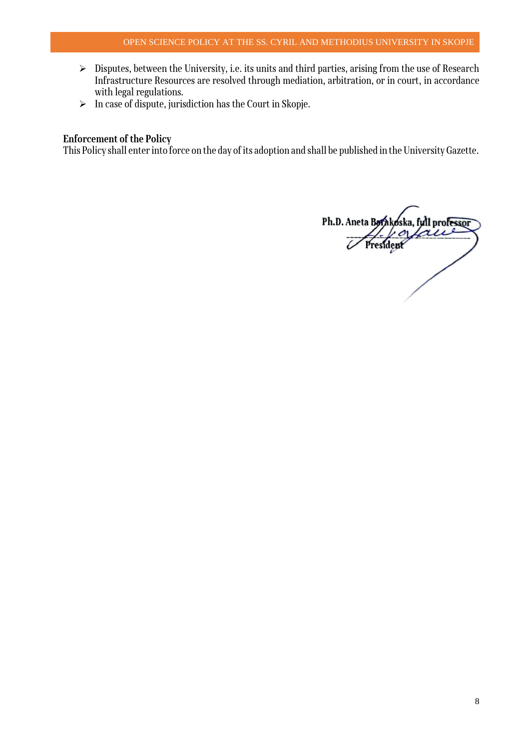- $\triangleright$  Disputes, between the University, i.e. its units and third parties, arising from the use of Research Infrastructure Resources are resolved through mediation, arbitration, or in court, in accordance with legal regulations.
- $\triangleright$  In case of dispute, jurisdiction has the Court in Skopje.

# **Enforcement of the Policy**

This Policy shall enter into force on the day of its adoption and shall be published in the University Gazette.

Ph.D. Aneta Barakoska, full professor ident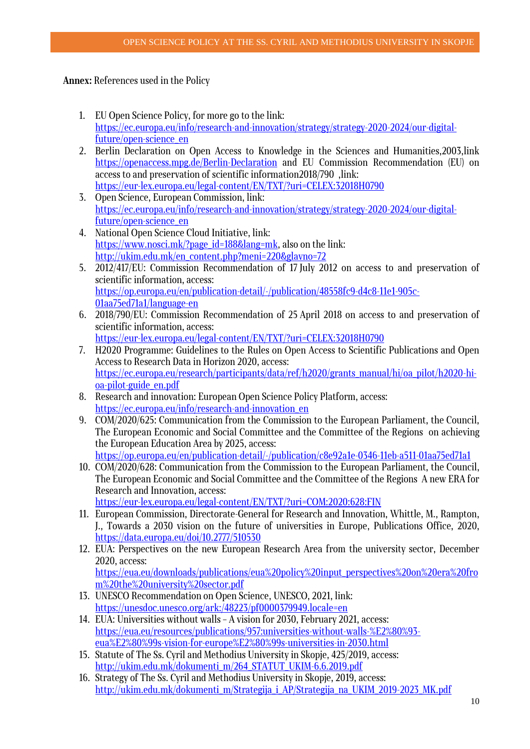# **Annex:** References used in the Policy

- 1. EU Open Science Policy, for more go to the link: [https://ec.europa.eu/info/research-and-innovation/strategy/strategy-2020-2024/our-digital](https://ec.europa.eu/info/research-and-innovation/strategy/strategy-2020-2024/our-digital-future/open-science_en)[future/open-science\\_en](https://ec.europa.eu/info/research-and-innovation/strategy/strategy-2020-2024/our-digital-future/open-science_en)
- 2. Berlin Declaration on Open Access to Knowledge in the Sciences and Humanities,2003,link <https://openaccess.mpg.de/Berlin-Declaration>and EU Commission Recommendation (EU) on access to and preservation of scientific information2018/790 ,link: <https://eur-lex.europa.eu/legal-content/EN/TXT/?uri=CELEX:32018H0790>
- 3. Open Science, European Commission, link: [https://ec.europa.eu/info/research-and-innovation/strategy/strategy-2020-2024/our-digital](https://ec.europa.eu/info/research-and-innovation/strategy/strategy-2020-2024/our-digital-future/open-science_en)[future/open-science\\_en](https://ec.europa.eu/info/research-and-innovation/strategy/strategy-2020-2024/our-digital-future/open-science_en)
- 4. National Open Science Cloud Initiative, link: [https://www.nosci.mk/?page\\_id=188&lang=mk,](https://www.nosci.mk/?page_id=188&lang=mk) also on the link: [http://ukim.edu.mk/en\\_content.php?meni=220&glavno=72](http://ukim.edu.mk/en_content.php?meni=220&glavno=72)
- 5. 2012/417/EU: Commission Recommendation of 17 July 2012 on access to and preservation of scientific information, access: [https://op.europa.eu/en/publication-detail/-/publication/48558fc9-d4c8-11e1-905c-](https://op.europa.eu/en/publication-detail/-/publication/48558fc9-d4c8-11e1-905c-01aa75ed71a1/language-en)[01aa75ed71a1/language-en](https://op.europa.eu/en/publication-detail/-/publication/48558fc9-d4c8-11e1-905c-01aa75ed71a1/language-en)
- 6. 2018/790/EU: Commission Recommendation of 25 April 2018 on access to and preservation of scientific information, access: <https://eur-lex.europa.eu/legal-content/EN/TXT/?uri=CELEX:32018H0790>
- 7. H2020 Programme: Guidelines to the Rules on Open Access to Scientific Publications and Open Access to Research Data in Horizon 2020, access: [https://ec.europa.eu/research/participants/data/ref/h2020/grants\\_manual/hi/oa\\_pilot/h2020-hi](https://ec.europa.eu/research/participants/data/ref/h2020/grants_manual/hi/oa_pilot/h2020-hi-oa-pilot-guide_en.pdf)[oa-pilot-guide\\_en.pdf](https://ec.europa.eu/research/participants/data/ref/h2020/grants_manual/hi/oa_pilot/h2020-hi-oa-pilot-guide_en.pdf)
- 8. Research and innovation: European Open Science Policy Platform, access: [https://ec.europa.eu/info/research-and-innovation\\_en](https://ec.europa.eu/info/research-and-innovation_en)
- 9. COM/2020/625: Communication from the Commission to the European Parliament, the Council, The European Economic and Social Committee and the Committee of the Regions on achieving the European Education Area by 2025, access: <https://op.europa.eu/en/publication-detail/-/publication/c8e92a1e-0346-11eb-a511-01aa75ed71a1>
- 10. COM/2020/628: Communication from the Commission to the European Parliament, the Council, The European Economic and Social Committee and the Committee of the Regions A new ERA for Research and Innovation, access: <https://eur-lex.europa.eu/legal-content/EN/TXT/?uri=COM:2020:628:FIN>

11. European Commission, Directorate-General for Research and Innovation, Whittle, M., Rampton,

- J., Towards a 2030 vision on the future of universities in Europe, Publications Office, 2020, <https://data.europa.eu/doi/10.2777/510530>
- 12. EUA: Perspectives on the new European Research Area from the university sector, December 2020, access: [https://eua.eu/downloads/publications/eua%20policy%20input\\_perspectives%20on%20era%20fro](https://eua.eu/downloads/publications/eua%20policy%20input_perspectives%20on%20era%20from%20the%20university%20sector.pdf) [m%20the%20university%20sector.pdf](https://eua.eu/downloads/publications/eua%20policy%20input_perspectives%20on%20era%20from%20the%20university%20sector.pdf)
- 13. UNESCO Recommendation on Open Science, UNESCO, 2021, link: <https://unesdoc.unesco.org/ark:/48223/pf0000379949.locale=en>
- 14. EUA: Universities without walls A vision for 2030, February 2021, access: [https://eua.eu/resources/publications/957:universities-without-walls-%E2%80%93](https://eua.eu/resources/publications/957:universities-without-walls-%E2%80%93-eua%E2%80%99s-vision-for-europe%E2%80%99s-universities-in-2030.html) [eua%E2%80%99s-vision-for-europe%E2%80%99s-universities-in-2030.html](https://eua.eu/resources/publications/957:universities-without-walls-%E2%80%93-eua%E2%80%99s-vision-for-europe%E2%80%99s-universities-in-2030.html)
- 15. Statute of The Ss. Cyril and Methodius University in Skopje, 425/2019, access: [http://ukim.edu.mk/dokumenti\\_m/264\\_STATUT\\_UKIM-6.6.2019.pdf](http://ukim.edu.mk/dokumenti_m/264_STATUT_UKIM-6.6.2019.pdf)
- 16. Strategy of The Ss. Cyril and Methodius University in Skopje, 2019, access: [http://ukim.edu.mk/dokumenti\\_m/Strategija\\_i\\_AP/Strategija\\_na\\_UKIM\\_2019-2023\\_MK.pdf](http://ukim.edu.mk/dokumenti_m/Strategija_i_AP/Strategija_na_UKIM_2019-2023_MK.pdf)